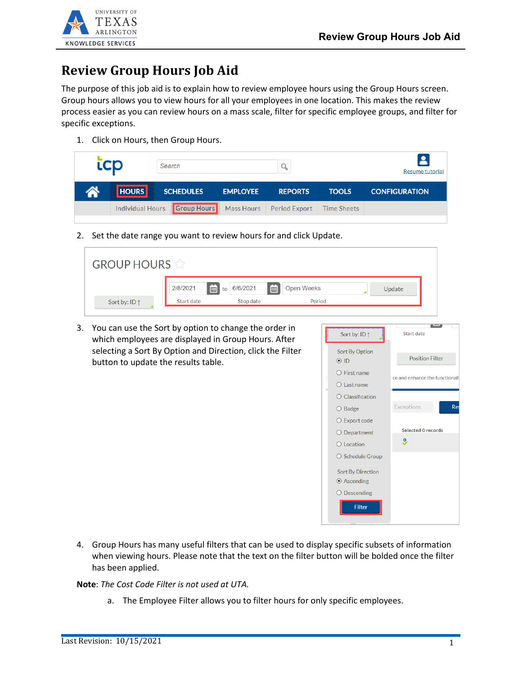

## **Review Group Hours Job Aid**

The purpose of this job aid is to explain how to review employee hours using the Group Hours screen. Group hours allows you to view hours for all your employees in one location. This makes the review process easier as you can review hours on a mass scale, filter for specific employee groups, and filter for specific exceptions.

1. Click on Hours, then Group Hours.

|          | <b>LCD</b>   | Search                       |                 |                          |              | Resume tutorial      |
|----------|--------------|------------------------------|-----------------|--------------------------|--------------|----------------------|
| <b>A</b> | <b>HOURS</b> | <b>SCHEDULES</b>             | <b>EMPLOYEE</b> | <b>REPORTS</b>           | <b>TOOLS</b> | <b>CONFIGURATION</b> |
|          |              | Individual Hours Group Hours |                 | Mass Hours Period Export | Time Sheets  |                      |
|          |              |                              |                 |                          |              |                      |

2. Set the date range you want to review hours for and click Update.

| <b>GROUP HOURS</b>     |               |                  |                   |        |
|------------------------|---------------|------------------|-------------------|--------|
|                        | 茴<br>2/8/2021 | 画<br>to 6/6/2021 | <b>Open Weeks</b> | Update |
| Sort by: ID $\uparrow$ | Start date    | Stop date        | Period            |        |

3. You can use the Sort by option to change the order in which employees are displayed in Group Hours. After selecting a Sort By Option and Direction, click the Filter button to update the results table.



4. Group Hours has many useful filters that can be used to display specific subsets of information when viewing hours. Please note that the text on the filter button will be bolded once the filter has been applied.

**Note**: *The Cost Code Filter is not used at UTA.*

a. The Employee Filter allows you to filter hours for only specific employees.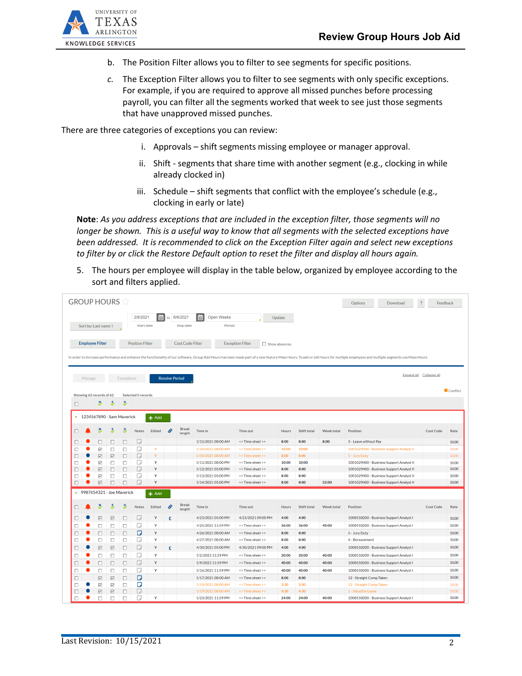

- b. The Position Filter allows you to filter to see segments for specific positions.
- *c.* The Exception Filter allows you to filter to see segments with only specific exceptions. For example, if you are required to approve all missed punches before processing payroll, you can filter all the segments worked that week to see just those segments that have unapproved missed punches.

There are three categories of exceptions you can review:

- i. Approvals shift segments missing employee or manager approval.
- ii. Shift segments that share time with another segment (e.g., clocking in while already clocked in)
- iii. Schedule shift segments that conflict with the employee's schedule (e.g., clocking in early or late)

**Note**: *As you address exceptions that are included in the exception filter, those segments will no longer be shown. This is a useful way to know that all segments with the selected exceptions have been addressed. It is recommended to click on the Exception Filter again and select new exceptions to filter by or click the Restore Default option to reset the filter and display all hours again.*

5. The hours per employee will display in the table below, organized by employee according to the sort and filters applied.

| <b>GROUP HOURS</b> |        |                                                            |                                       |                   |                           |         |                       |                          |                           |                                      |               |                    |                   | Options<br>Download                                                                                                                                                                                                            | $\cdot$<br>Feedback     |                |
|--------------------|--------|------------------------------------------------------------|---------------------------------------|-------------------|---------------------------|---------|-----------------------|--------------------------|---------------------------|--------------------------------------|---------------|--------------------|-------------------|--------------------------------------------------------------------------------------------------------------------------------------------------------------------------------------------------------------------------------|-------------------------|----------------|
|                    |        | Sort by: Last name 1                                       |                                       |                   | 2/8/2021<br>Start date    | 田       |                       | to 6/6/2021<br>Stop date | Open Weeks<br>E<br>Period |                                      | Update        |                    |                   |                                                                                                                                                                                                                                |                         |                |
|                    |        | <b>Employee Filter</b>                                     |                                       |                   | <b>Position Filter</b>    |         |                       | <b>Cost Code Filter</b>  |                           | <b>Exception Filter</b>              | Show absences |                    |                   | In order to increase performance and enhance the functionality of our software, Group Add Hours has been made part of a new feature Mass Hours. To add or edit hours for multiple employees and multiple segments use Mass Hou |                         |                |
|                    | Manage |                                                            |                                       | <b>Exceptions</b> |                           |         | <b>Resolve Period</b> |                          |                           |                                      |               |                    |                   |                                                                                                                                                                                                                                | Expand all Collapse all |                |
|                    |        | Showing 62 records of 62                                   |                                       |                   | <b>Selected O records</b> |         |                       |                          |                           |                                      |               |                    |                   |                                                                                                                                                                                                                                |                         | Conflict       |
| $\Box$             |        | Y                                                          | 5                                     | 3                 |                           |         |                       |                          |                           |                                      |               |                    |                   |                                                                                                                                                                                                                                |                         |                |
|                    |        |                                                            | 1234567890 - Sam Maverick             |                   |                           | $+$ Add |                       |                          |                           |                                      |               |                    |                   |                                                                                                                                                                                                                                |                         |                |
| п                  |        |                                                            | 5                                     | 9,                | <b>Notes</b>              | Edited  | o                     | <b>Break</b>             | <b>Time in</b>            | <b>Time out</b>                      | <b>Hours</b>  | <b>Shift total</b> | <b>Week total</b> | <b>Position</b>                                                                                                                                                                                                                | <b>Cost Code</b>        | Rate           |
|                    |        |                                                            |                                       |                   |                           |         |                       | length                   |                           |                                      |               |                    |                   |                                                                                                                                                                                                                                |                         |                |
| п                  |        | $\Box$                                                     | □                                     | П                 | D                         |         |                       |                          | 3/15/2021 08:00 AM        | << Time sheet >>                     | 8:00          | 8:00               | 8:00              | 3 - Leave without Pay                                                                                                                                                                                                          |                         | 10.00          |
| □                  |        | $\overline{\smile}$                                        | □                                     | □                 | D                         | Y       |                       |                          | 5/10/2021 08:00 AM        | << Time sheet >>                     | 10:00         | 10:00              |                   | 1001029400 - Business Support Analyst II                                                                                                                                                                                       |                         | 10.00          |
| п                  | С      | $\overline{\smash{\vee}}$                                  | $\overline{\smash{\vee}}$             | $\Box$            | D                         | Y       |                       |                          | 5/10/2021 08:00 AM        | << Time sheet >>                     | 8:00          | 8:00               |                   | 5 - Jury Duty                                                                                                                                                                                                                  |                         | 10.00          |
| □                  |        | $\overline{\smile}$                                        | $\Box$                                | □                 | D                         | Y       |                       |                          | 5/11/2021 08:00 PM        | << Time sheet >>                     | 10:00         | 10:00              |                   | 1001029400 - Business Support Analyst II                                                                                                                                                                                       |                         | 10.00          |
| □                  |        | $\overline{\smash{\vee}}$                                  | $\Box$                                | $\Box$            | $\Box$                    | Y       |                       |                          | 5/12/2021 05:00 PM        | << Time sheet >>                     | 8:00          | 8:00               |                   | 1001029400 - Business Support Analyst II                                                                                                                                                                                       |                         | 10.00          |
| □                  |        | $\overline{\smile}$<br>$\overline{\smash{\triangleright}}$ | $\Box$                                | П                 | ß<br>$\Box$               | Y<br>Y  |                       |                          | 5/13/2021 05:00 PM        | << Time sheet >><br><< Time sheet >> | 8:00<br>8:00  | 8:00<br>8:00       | 52:00             | 1001029400 - Business Support Analyst II                                                                                                                                                                                       |                         | 10.00<br>10.00 |
| □                  |        |                                                            | $\Box$                                | П                 |                           |         |                       |                          | 5/14/2021 05:00 PM        |                                      |               |                    |                   | 1001029400 - Business Support Analyst II                                                                                                                                                                                       |                         |                |
| ٠                  |        |                                                            | 9987654321 - Joe Maverick             |                   |                           | $+$ Add |                       |                          |                           |                                      |               |                    |                   |                                                                                                                                                                                                                                |                         |                |
| □                  |        |                                                            | 5                                     | 9                 | <b>Notes</b>              | Edited  | ଙ                     | <b>Break</b><br>length   | <b>Time in</b>            | <b>Time out</b>                      | <b>Hours</b>  | <b>Shift total</b> | <b>Week total</b> | <b>Position</b>                                                                                                                                                                                                                | <b>Cost Code</b>        | Rate           |
|                    |        | $\overline{\smash{\vee}}$                                  | $\overline{\smash{\trianglerighteq}}$ | П                 | D                         | Y       | c                     |                          | 4/23/2021 05:00 PM        | 4/23/2021 09:00 PM                   | 4:00          | 4:00               |                   | 1008558200 - Business Support Analyst I                                                                                                                                                                                        |                         | 10.00          |
| □                  |        | □                                                          | $\Box$                                | □                 | D                         | Y       |                       |                          | 4/25/2021 11:59 PM        | << Time sheet >>                     | 36:00         | 36:00              | 40:00             | 1008558200 - Business Support Analyst I                                                                                                                                                                                        |                         | 10.00          |
| □                  |        | $\Box$                                                     | $\Box$                                | $\Box$            | О                         | Y       |                       |                          | 4/26/2021 08:00 AM        | << Time sheet >>                     | 8:00          | 8:00               |                   | 5 - Jury Duty                                                                                                                                                                                                                  |                         | 10.00          |
| □                  |        | $\Box$                                                     | $\Box$                                | $\Box$            | D                         | Y       |                       |                          | 4/27/2021 08:00 AM        | << Time sheet >>                     | 8:00          | 8:00               |                   | 4 - Bereavement                                                                                                                                                                                                                |                         | 10.00          |
| п                  |        | $\overline{\smash{\vee}}$                                  | $\boxdot$                             | П                 | D                         | Y       | c                     |                          | 4/30/2021 05:00 PM        | 4/30/2021 09:00 PM                   | 4:00          | 4:00               |                   | 1008558200 - Business Support Analyst I                                                                                                                                                                                        |                         | 10.00          |
| □                  |        | □                                                          | $\Box$                                | $\Box$            | D                         | Y       |                       |                          | 5/2/2021 11:59 PM         | << Time sheet >>                     | 20:00         | 20:00              | 40:00             | 1008558200 - Business Support Analyst I                                                                                                                                                                                        |                         | 10.00          |
| г                  |        | $\Box$                                                     | $\Box$                                | $\Box$            | ⊓                         | Y       |                       |                          | 5/9/2021 11:59 PM         | << Time sheet >>                     | 40:00         | 40:00              | 40:00             | 1008558200 - Business Support Analyst I                                                                                                                                                                                        |                         | 10.00          |
| □                  |        | п                                                          | $\Box$                                | □                 | D                         | Y       |                       |                          | 5/16/2021 11:59 PM        | << Time sheet >>                     | 40:00         | 40:00              | 40:00             | 1008558200 - Business Support Analyst I                                                                                                                                                                                        |                         | 10.00          |
| D                  |        | $\overline{\smash{\vee}}$                                  | $\overline{\triangleright}$           | П                 | Ο                         |         |                       |                          | 5/17/2021 08:00 AM        | << Time sheet >>                     | 8:00          | 8:00               |                   | 12 - Straight Comp Taken                                                                                                                                                                                                       |                         | 10.00          |
| п                  |        | $\overline{\smile}$                                        | $\overline{\smash{\triangleright}}$   | $\Box$            | □                         |         |                       |                          | 5/19/2021 08:00 AM        | << Time sheet >>                     | 3:30          | 3:30               |                   | 12 - Straight Comp Taken                                                                                                                                                                                                       |                         | 10.00          |
| $\Box$             |        | $\overline{\smash{\trianglerighteq}}$                      | $\overline{\smash{\trianglerighteq}}$ | $\Box$            | $\Box$                    |         |                       |                          | 5/19/2021 08:00 AM        | << Time sheet >>                     | 4:30          | 4:30               |                   | 1 - Vacation Leave                                                                                                                                                                                                             |                         | 10.00          |
| $\Box$             |        | п                                                          | $\Box$                                | П                 | П                         | Y       |                       |                          | 5/23/2021 11:59 PM        | << Time sheet >>                     | 24:00         | 24:00              | 40:00             | 1008558200 - Business Support Analyst I                                                                                                                                                                                        |                         | 10.00          |